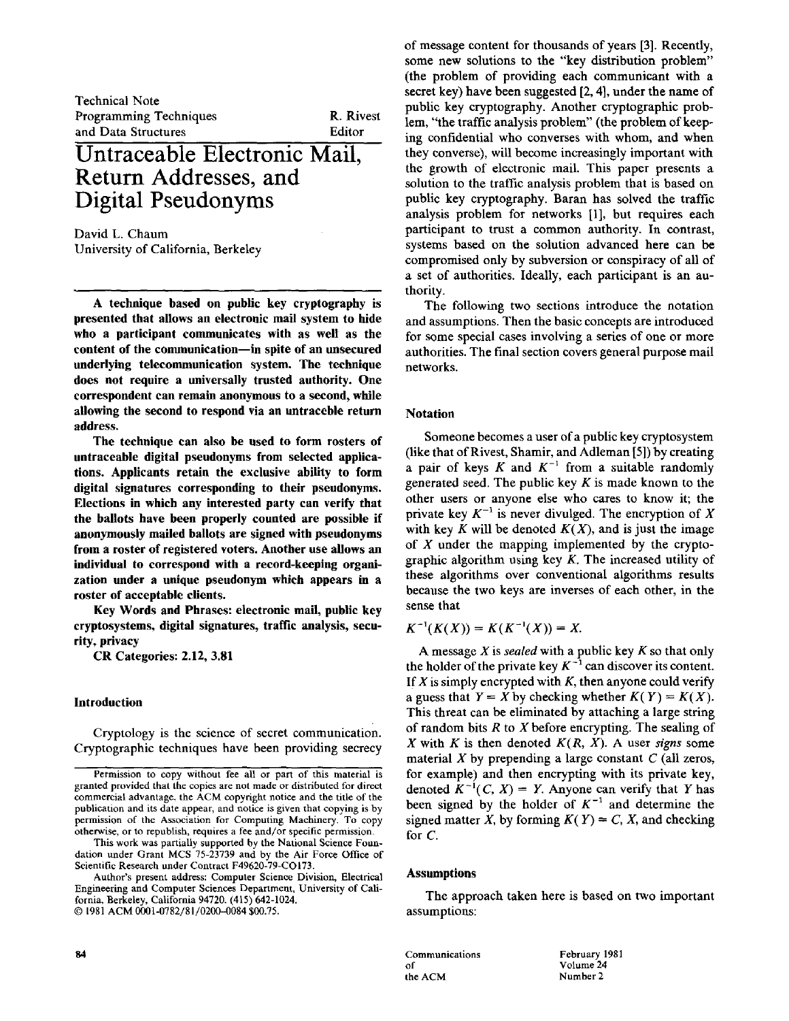Technical Note Programming Techniques and Data Structures R. Rivest Editor

## **Untraceable Electronic Mail, Return Addresses, and Digital Pseudonyms**

David L. Chaum University of California, Berkeley

**A technique based on public key cryptography is presented that allows an electronic mail system to hide who a participant communicates with as well as the content of the communication--in spite of an unsecured underlying telecommunication system. The technique does not require a universally trusted authority. One correspondent can remain anonymous to a second, while allowing the second to respond via an untraceble return address.** 

**The technique can also be used to form rosters of untraceable digital pseudonyms from selected applications. Applicants retain the exclusive ability to form digital signatures corresponding to their pseudonyms. Elections in which any interested party can verify that the ballots have been properly counted are possible if anonymously mailed ballots are signed with pseudonyms from a roster of registered voters. Another use allows an individual to correspond with a record-keeping organization under a unique pseudonym which appears in a roster of acceptable clients.** 

**Key Words and Phrases: electronic mail, public key cryptosystems, digital signatures, traffic analysis, security, privacy** 

**CR Categories: 2.12, 3.81** 

## **Introduction**

Cryptology is the science of secret communication. Cryptographic techniques have been providing secrecy

This work was partially supported by the National Science Foundation under Grant MCS 75-23739 and by the Air Force Office of Scientific Research under Contract F49620-79-CO173.

Author's present address: Computer Science Division, Electrical Engineering and Computer Sciences Department, University of California, Berkeley, California 94720. (415) 642-1024. © 1981 ACM 0001-0782/81/0200--0084 \$00.75.

of message content for thousands of years [3]. Recently, some new solutions to the "key distribution problem" (the problem of providing each communicant with a secret key) have been suggested [2, 4], under the name of public key cryptography. Another cryptographic problem, "the traffic analysis problem" (the problem of keeping confidential who converses with whom, and when they converse), will become increasingly important with the growth of electronic mail. This paper presents a solution to the traffic analysis problem that is based on public key cryptography. Baran has solved the traffic analysis problem for networks [1], but requires each participant to trust a common authority. In contrast, systems based on the solution advanced here can be compromised only by subversion or conspiracy of all of a set of authorities. Ideally, each participant is an authority.

The following two sections introduce the notation and assumptions. Then the basic concepts are introduced for some special cases involving a series of one or more authorities. The final section covers general purpose mail networks.

## **Notation**

Someone becomes a user of a public key cryptosystem (like that of Rivest, Shamir, and Adleman [5]) by creating a pair of keys K and  $K^{-1}$  from a suitable randomly generated seed. The public key  $K$  is made known to the other users or anyone else who cares to know it; the private key  $K^{-1}$  is never divulged. The encryption of X with key K will be denoted  $K(X)$ , and is just the image of  $X$  under the mapping implemented by the cryptographic algorithm using key  $K$ . The increased utility of these algorithms over conventional algorithms results because the two keys are inverses of each other, in the sense that

 $K^{-1}(K(X)) = K(K^{-1}(X)) = X.$ 

A message X is *sealed* with a public key K so that only the holder of the private key  $K^{-1}$  can discover its content. If  $X$  is simply encrypted with  $K$ , then anyone could verify a guess that  $Y = X$  by checking whether  $K(Y) = K(X)$ . This threat can be eliminated by attaching a large string of random bits  $R$  to  $X$  before encrypting. The sealing of X with  $K$  is then denoted  $K(R, X)$ . A user *signs* some material  $X$  by prepending a large constant  $C$  (all zeros, for example) and then encrypting with its private key, denoted  $K^{-1}(C, X) = Y$ . Anyone can verify that Y has been signed by the holder of  $K^{-1}$  and determine the signed matter X, by forming  $K(Y) = C$ , X, and checking for C.

#### **Assumptions**

The approach taken here is based on two important assumptions:

84 Communications February 1981 of Volume 24<br>the ACM Number 2

Number 2

Permission to copy without fee all or part of this material is granted provided that the copies are not made or distributed for direct commercial advantage, the ACM copyright notice and the title of the publication and its date appear, and notice is given that copying is by permission of the Association for Computing Machinery. To copy otherwise, or to republish, requires a fee and/or specific permission.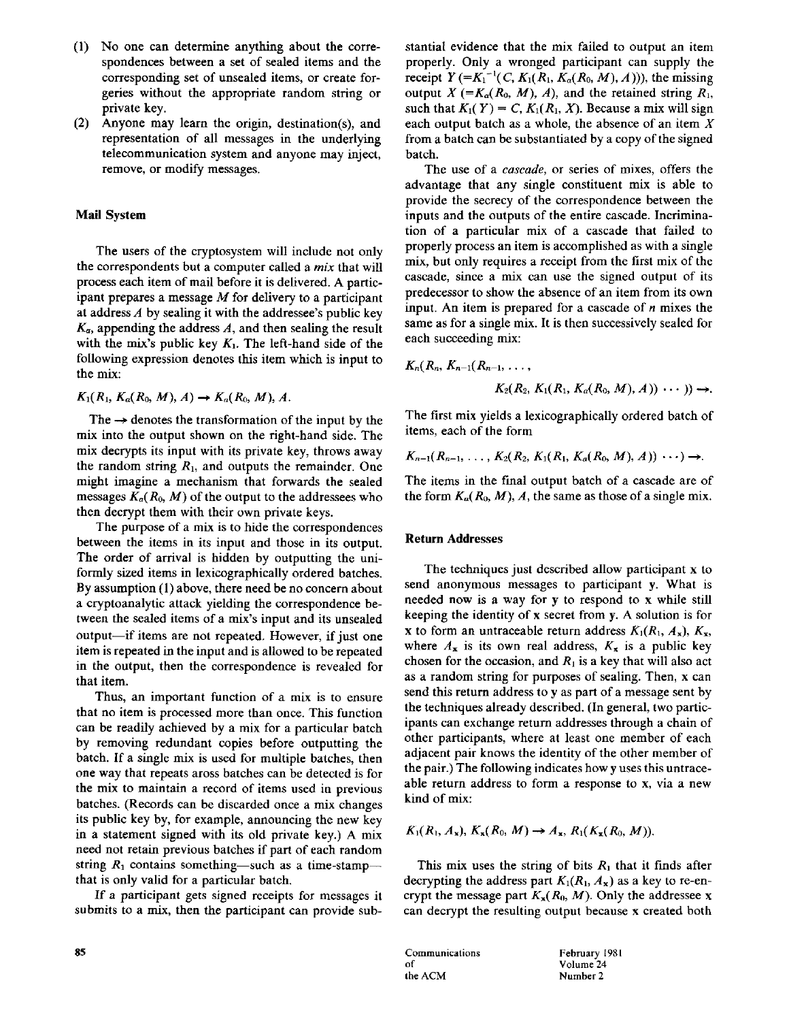- (1) No one can determine anything about the correspondences between a set of sealed items and the corresponding set of unsealed items, or create forgeries without the appropriate random string or private key.
- (2) Anyone may learn the origin, destination(s), and representation of all messages in the underlying telecommunication system and anyone may inject, remove, or modify messages.

## **Mail System**

The users of the cryptosystem will include not only the correspondents but a computer called a *mix* that will process each item of mail before it is delivered. A participant prepares a message  $M$  for delivery to a participant at address  $\vec{A}$  by sealing it with the addressee's public key  $K_a$ , appending the address A, and then sealing the result with the mix's public key  $K_1$ . The left-hand side of the following expression denotes this item which is input to the mix:

 $K_1(R_1, K_{\alpha}(R_0, M), A) \to K_{\alpha}(R_0, M), A$ .

The  $\rightarrow$  denotes the transformation of the input by the mix into the output shown on the right-hand side. The mix decrypts its input with its private key, throws away the random string  $R_1$ , and outputs the remainder. One might imagine a mechanism that forwards the sealed messages  $K_a(R_0, M)$  of the output to the addressees who then decrypt them with their own private keys.

The purpose of a mix is to hide the correspondences between the items in its input and those in its output. The order of arrival is hidden by outputting the uniformly sized items in lexicographically ordered batches. By assumption (1) above, there need be no concern about a cryptoanalytic attack yielding the correspondence between the sealed items of a mix's input and its unsealed output—if items are not repeated. However, if just one item is repeated in the input and is allowed to be repeated in the output, then the correspondence is revealed for that item.

Thus, an important function of a mix is to ensure that no item is processed more than once. This function can be readily achieved by a mix for a particular batch by removing redundant copies before outputting the batch. If a single mix is used for multiple batches, then one way that repeats aross batches can be detected is for the mix to maintain a record of items used in previous batches. (Records can be discarded once a mix changes its public key by, for example, announcing the new key in a statement signed with its old private key.) A mix need not retain previous batches if part of each random string  $R_1$  contains something—such as a time-stamp that is only valid for a particular batch.

If a participant gets signed receipts for messages it submits to a mix, then the participant can provide substantial evidence that the mix failed to output an item properly. Only a wronged participant can supply the receipt  $Y = K_1^{-1}(C, K_1(R_1, K_2(R_0, M), A))$ , the missing output  $X$  (= $K_a(R_0, M)$ , A), and the retained string  $R_1$ , such that  $K_1(Y) = C$ ,  $K_1(R_1, X)$ . Because a mix will sign each output batch as a whole, the absence of an item  $X$ from a batch can be substantiated by a copy of the signed batch.

The use of a *cascade,* or series of mixes, offers the advantage that any single constituent mix is able to provide the secrecy of the correspondence between the inputs and the outputs of the entire cascade. Incrimination of a particular mix of a cascade that failed to properly process an item is accomplished as with a single mix, but only requires a receipt from the first mix of the cascade, since a mix can use the signed output of its predecessor to show the absence of an item from its own input. An item is prepared for a cascade of  $n$  mixes the same as for a single mix. It is then successively sealed for each succeeding mix:

$$
K_n(R_n, K_{n-1}(R_{n-1},..., R_2(R_1, K_n(R_1, K_n(R_0, M), A)) \cdots)) \rightarrow.
$$

The first mix yields a lexicographically ordered batch of items, each of the form

 $K_{n-1}( R_{n-1}, \ldots, K_2(R_2, K_1(R_1, K_a(R_0, M), A)) \cdots ) \rightarrow$ .

The items in the final output batch of a cascade are of the form  $K_a(R_0, M)$ , A, the same as those of a single mix.

## **Return Addresses**

The techniques just described allow participant x to send anonymous messages to participant y. What is needed now is a way for y to respond to x while still keeping the identity of  $x$  secret from  $y$ . A solution is for x to form an untraceable return address  $K_1(R_1, A_x)$ ,  $K_x$ , where  $A_x$  is its own real address,  $K_x$  is a public key chosen for the occasion, and  $R_1$  is a key that will also act as a random string for purposes of sealing. Then, x can send this return address to y as part of a message sent by the techniques already described. (In general, two participants can exchange return addresses through a chain of other participants, where at least one member of each adjacent pair knows the identity of the other member of the pair.) The following indicates how y uses this untraceable return address to form a response to x, via a new kind of mix:

$$
K_1(R_1, A_x), K_{\mathbf{x}}(R_0, M) \rightarrow A_{\mathbf{x}}, R_1(K_{\mathbf{x}}(R_0, M)).
$$

This mix uses the string of bits  $R_1$  that it finds after decrypting the address part  $K_1(R_1, A_x)$  as a key to re-encrypt the message part  $K_x(R_0, M)$ . Only the addressee x can decrypt the resulting output because x created both

**85 85 Communications February 1981** of Volume 24 the ACM Number 2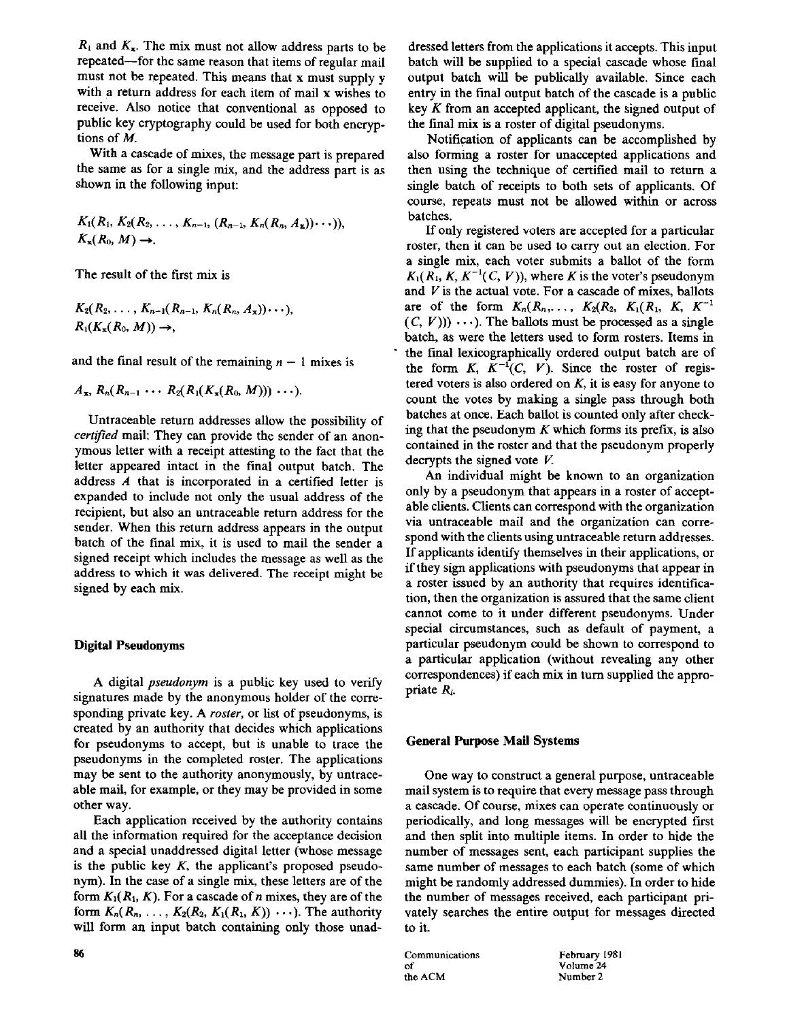$R_1$  and  $K_x$ . The mix must not allow address parts to be repeated--for the same reason that items of regular mail must not be repeated. This means that x must supply y with a return address for each item of mail x wishes to receive. Also notice that conventional as opposed to public key cryptography could be used for both encryptions of M.

With a cascade of mixes, the message part is prepared the same as for a single mix, and the address part is as shown in the following input:

$$
K_1(R_1, K_2(R_2, \ldots, K_{n-1}, (R_{n-1}, K_n(R_n, A_{\mathbf{x}}))\cdots)),
$$
  

$$
K_{\mathbf{x}}(R_0, M) \rightarrow
$$

The result of the first mix is

$$
K_2(R_2,\ldots,K_{n-1}(R_{n-1},K_n(R_n,A_x))\cdots),
$$
  

$$
R_1(K_x(R_0,M))\rightarrow,
$$

and the final result of the remaining  $n - 1$  mixes is

$$
A_{\mathbf{x}}, R_n(R_{n-1}\cdots R_2(R_1(K_{\mathbf{x}}(R_0,M)))\cdots).
$$

Untraceable return addresses allow the possibility of *certified* mail: They can provide the sender of an anonymous letter with a receipt attesting to the fact that the letter appeared intact in the final output batch. The address A that is incorporated in a certified letter is expanded to include not only the usual address of the recipient, but also an untraceable return address for the sender. When this return address appears in the output batch of the final mix, it is used to mail the sender a signed receipt which includes the message as well as the address to which it was delivered. The receipt might be signed by each mix.

## **Digital Pseudonyms**

A digital *pseudonym* is a public key used to verify signatures made by the anonymous holder of the corresponding private key. A *roster,* or list of pseudonyms, is created by an authority that decides which applications for pseudonyms to accept, but is unable to trace the pseudonyms in the completed roster. The applications may be sent to the authority anonymously, by untraceable mail, for example, or they may be provided in some other way.

Each application received by the authority contains all the information required for the acceptance decision and a special unaddressed digital letter (whose message is the public key  $K$ , the applicant's proposed pseudonym). In the case of a single mix, these letters are of the form  $K_1(R_1, K)$ . For a cascade of n mixes, they are of the form  $K_n(R_n, \ldots, K_2(R_2, K_1(R_1, K)) \cdots$ ). The authority will form an input batch containing only those unaddressed letters from the applications it accepts. This input batch will be supplied to a special cascade whose final output batch will be publically available. Since each entry in the final output batch of the cascade is a public key  $K$  from an accepted applicant, the signed output of the final mix is a roster of digital pseudonyms.

Notification of applicants can be accomplished by also forming a roster for unaccepted applications and then using the technique of certified mail to return a single batch of receipts to both sets of applicants. Of course, repeats must not be allowed within or across batches.

If only registered voters are accepted for a particular roster, then it can be used to carry out an election. For a single mix, each voter submits a ballot of the form  $K_1(R_1, K, K^{-1}(C, V))$ , where K is the voter's pseudonym and  $V$  is the actual vote. For a cascade of mixes, ballots are of the form  $K_n(R_n, \ldots, K_2(R_2, K_1(R_1, K_1, K_1))$  $(C, V)$ )  $\cdots$ ). The ballots must be processed as a single batch, as were the letters used to form rosters. Items in the final lexicographically ordered output batch are of the form  $K$ ,  $K^{-1}(C, V)$ . Since the roster of registered voters is also ordered on  $K$ , it is easy for anyone to count the votes by making a single pass through both batches at once. Each ballot is counted only after checking that the pseudonym  $K$  which forms its prefix, is also contained in the roster and that the pseudonym properly decrypts the signed vote  $V$ .

An individual might be known to an organization only by a pseudonym that appears in a roster of acceptable clients. Clients can correspond with the organization via untraceable mail and the organization can correspond with the clients using untraceable return addresses. If applicants identify themselves in their applications, or if they sign applications with pseudonyms that appear in a roster issued by an authority that requires identification, then the organization is assured that the same client cannot come to it under different pseudonyms. Under special circumstances, such as default of payment, a particular pseudonym could be shown to correspond to a particular application (without revealing any other correspondences) if each mix in turn supplied the appropriate *Ri.* 

#### **General Purpose Mail Systems**

One way to construct a general purpose, untraceable mail system is to require that every message pass through a cascade. Of course, mixes can operate continuously or periodically, and long messages will be encrypted first and then split into multiple items. In order to hide the number of messages sent, each participant supplies the same number of messages to each batch (some of which might be randomly addressed dummies). In order to hide the number of messages received, each participant privately searches the entire output for messages directed **to** it.

Communications February 1981 of Volume 24<br>the ACM Number 2

Number 2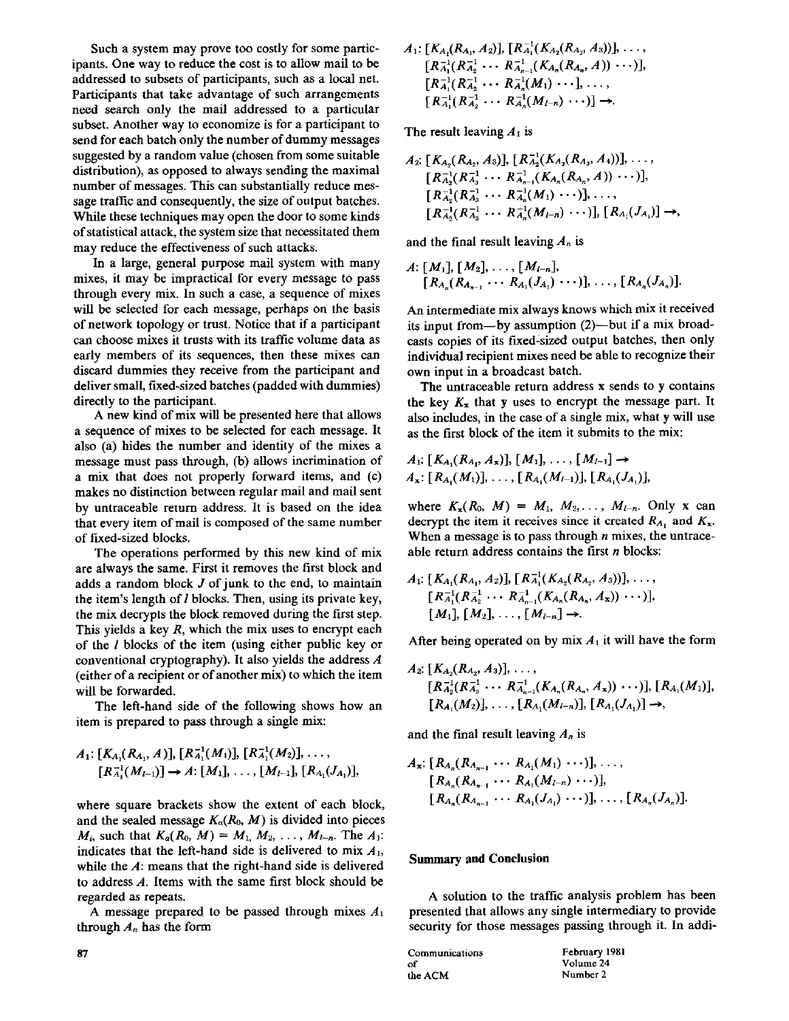Such a system may prove too costly for some participants. One way to reduce the cost is to allow mail to be addressed to subsets of participants, such as a local net. Participants that take advantage of such arrangements need search only the mail addressed to a particular subset. Another way to economize is for a participant to send for each batch only the number of dummy messages suggested by a random value (chosen from some suitable distribution), as opposed to always sending the maximal number of messages. This can substantially reduce message traffic and consequently, the size of output batches. While these techniques may open the door to some kinds of statistical attack, the system size that necessitated them may reduce the effectiveness of such attacks.

In a large, general purpose mail system with many mixes, it may be impractical for every message to pass through every mix. In such a case, a sequence of mixes will be selected for each message, perhaps on the basis of network topology or trust. Notice that if a participant can choose mixes it trusts with its traffic volume data as early members of its sequences, then these mixes can discard dummies they receive from the participant and deliver small, fixed-sized batches (padded with dummies) directly to the participant.

A new kind of mix will be presented here that allows a sequence of mixes to be selected for each message. It also (a) hides the number and identity of the mixes a message must pass through, (b) allows incrimination of a mix that does not properly forward items, and (c) makes no distinction between regular mail and mail sent by untraceable return address. It is based on the idea that every item of mail is composed of the same number of fixed-sized blocks.

The operations performed by this new kind of mix are always the same. First it removes the first block and adds a random block J of junk to the end, to maintain the item's length of l blocks. Then, using its private key, the mix decrypts the block removed during the first step. This yields a key  $R$ , which the mix uses to encrypt each of the  $l$  blocks of the item (using either public key or conventional cryptography). It also yields the address A (either of a recipient or of another mix) to which the item will be forwarded.

The left-hand side of the following shows how an item is prepared to pass through a single mix:

$$
A_1: [K_{A_1}(R_{A_1}, A)], [R_{A_1}^{-1}(M_1)], [R_{A_1}^{-1}(M_2)], \ldots, [R_{A_1}^{-1}(M_{l-1})] \rightarrow A: [M_1], \ldots, [M_{l-1}], [R_{A_1}(J_{A_1})],
$$

where square brackets show the extent of each block, and the sealed message  $K_a(R_0, M)$  is divided into pieces *M<sub>i</sub>*, such that  $K_a(R_0, M) = M_1, M_2, \ldots, M_{l-n}$ . The  $A_1$ : indicates that the left-hand side is delivered to mix  $A<sub>1</sub>$ , while the A: means that the right-hand side is delivered to address A. Items with the same first block should be regarded as repeats.

A message prepared to be passed through mixes  $A_1$ through *An* has the form

$$
A_1: [K_{A_1}(R_{A_1}, A_2)], [R_{A_1}^{-1}(K_{A_2}(R_{A_2}, A_3))], \ldots, \n[R_{A_1}^{-1}(R_{A_2}^{-1} \cdots R_{A_{n-1}}^{-1}(K_{A_n}(R_{A_n}, A)) \cdots)], \n[R_{A_1}^{-1}(R_{A_2}^{-1} \cdots R_{A_n}^{-1}(M_1) \cdots], \ldots, \n[R_{A_1}^{-1}(R_{A_2}^{-1} \cdots R_{A_n}^{-1}(M_{l-n}) \cdots)] \rightarrow.
$$

The result leaving  $A_1$  is

$$
A_2: [K_{A_2}(R_{A_2}, A_3)], [R_{A_2}(K_{A_3}, A_4)], \ldots, \n[R_{A_2}(R_{A_3}^{-1} \cdots R_{A_{n-1}}^{-1}(K_{A_n}(R_{A_n}, A)) \cdots)], \n[R_{A_2}^{-1}(R_{A_3}^{-1} \cdots R_{A_n}^{-1}(M_1) \cdots)], \ldots, \n[R_{A_2}^{-1}(R_{A_3}^{-1} \cdots R_{A_n}^{-1}(M_{l-n}) \cdots)], [R_{A_1}(J_{A_1})] \rightarrow,
$$

and the final result leaving  $A_n$  is

$$
A: [M_1], [M_2], \ldots, [M_{l-n}],
$$
  

$$
[R_{A_n}(R_{A_{n-1}} \cdots R_{A_1}(J_{A_1}) \cdots)], \ldots, [R_{A_n}(J_{A_n})].
$$

An intermediate mix always knows which mix it received its input from-by assumption (2)-but if a mix broadcasts copies of its fixed-sized output batches, then only individual recipient mixes need be able to recognize their own input in a broadcast batch.

The untraceable return address x sends to y contains the key  $K_x$  that y uses to encrypt the message part. It also includes, in the case of a single mix, what y will use as the first block of the item it submits to the mix:

$$
A_1: [K_{A_1}(R_{A_1}, A_{\mathbf{x}})], [M_1], \ldots, [M_{l-1}] \rightarrow A_{\mathbf{x}}: [R_{A_1}(M_1)], \ldots, [R_{A_1}(M_{l-1})], [R_{A_1}(J_{A_1})],
$$

where  $K_x(R_0, M) = M_1, M_2, ..., M_{l-n}$ . Only x can decrypt the item it receives since it created  $R_{A_1}$  and  $K_{\mathbf{x}}$ . When a message is to pass through  *mixes, the untrace*able return address contains the first  $n$  blocks:

$$
A_1: [K_{A_1}(R_{A_1}, A_2)], [R_{A_1}^{-1}(K_{A_2}(R_{A_2}, A_3))], \ldots, [R_{A_1}^{-1}(R_{A_2}^{-1} \cdots R_{A_{n-1}}^{-1}(K_{A_n}(R_{A_n}, A_x)) \cdots)], [M_1], [M_2], \ldots, [M_{l-n}] \rightarrow.
$$

After being operated on by mix  $A_1$  it will have the form

$$
A_2: [K_{A_2}(R_{A_2}, A_3)], \ldots, [R_{A_2}^{-1}(R_{A_3}^{-1} \cdots R_{A_{n-1}}^{-1}(K_{A_n}(R_{A_n}, A_{\mathbf{x}})) \cdots)], [R_{A_1}(M_1)], [R_{A_1}(M_2)], \ldots, [R_{A_1}(M_{l-n})], [R_{A_1}(J_{A_1})] \rightarrow,
$$

and the final result leaving *An* is

$$
A_{\mathbf{x}}: [R_{A_n}(R_{A_{n-1}} \cdots R_{A_1}(M_1) \cdots)], \ldots, [R_{A_n}(R_{A_{n-1}} \cdots R_{A_1}(M_{l-n}) \cdots)], [R_{A_n}(R_{A_{n-1}} \cdots R_{A_1}(J_{A_1}) \cdots)], \ldots, [R_{A_n}(J_{A_n})].
$$

## **Summary and Conclusion**

A solution to the traffic analysis problem has been presented that allows any single intermediary to provide security for those messages passing through it. In addi-

Communications February 1981 of Volume 24 the ACM Number 2